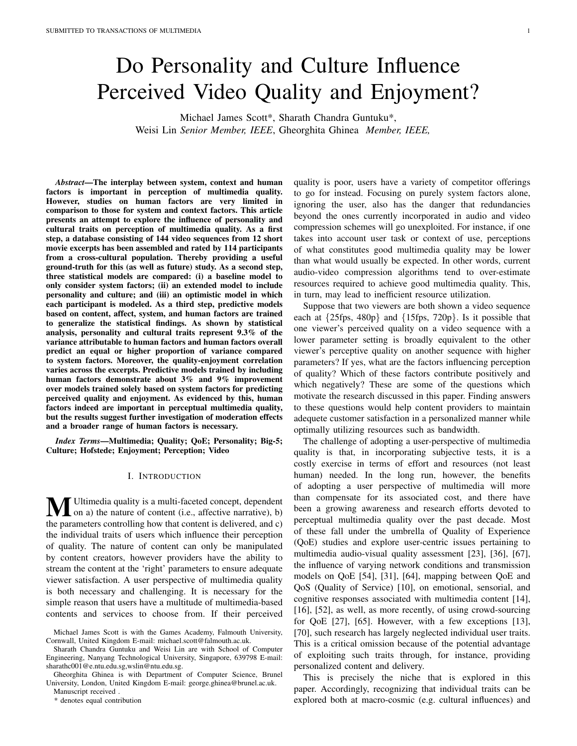# Do Personality and Culture Influence Perceived Video Quality and Enjoyment?

Michael James Scott\*, Sharath Chandra Guntuku\*, Weisi Lin *Senior Member, IEEE*, Gheorghita Ghinea *Member, IEEE,*

*Abstract*—The interplay between system, context and human factors is important in perception of multimedia quality. However, studies on human factors are very limited in comparison to those for system and context factors. This article presents an attempt to explore the influence of personality and cultural traits on perception of multimedia quality. As a first step, a database consisting of 144 video sequences from 12 short movie excerpts has been assembled and rated by 114 participants from a cross-cultural population. Thereby providing a useful ground-truth for this (as well as future) study. As a second step, three statistical models are compared: (i) a baseline model to only consider system factors; (ii) an extended model to include personality and culture; and (iii) an optimistic model in which each participant is modeled. As a third step, predictive models based on content, affect, system, and human factors are trained to generalize the statistical findings. As shown by statistical analysis, personality and cultural traits represent 9.3% of the variance attributable to human factors and human factors overall predict an equal or higher proportion of variance compared to system factors. Moreover, the quality-enjoyment correlation varies across the excerpts. Predictive models trained by including human factors demonstrate about 3% and 9% improvement over models trained solely based on system factors for predicting perceived quality and enjoyment. As evidenced by this, human factors indeed are important in perceptual multimedia quality, but the results suggest further investigation of moderation effects and a broader range of human factors is necessary.

*Index Terms*—Multimedia; Quality; QoE; Personality; Big-5; Culture; Hofstede; Enjoyment; Perception; Video

# I. INTRODUCTION

Ultimedia quality is a multi-faceted concept, dependent on a) the nature of content (i.e., affective narrative), b) the parameters controlling how that content is delivered, and c) the individual traits of users which influence their perception of quality. The nature of content can only be manipulated by content creators, however providers have the ability to stream the content at the 'right' parameters to ensure adequate viewer satisfaction. A user perspective of multimedia quality is both necessary and challenging. It is necessary for the simple reason that users have a multitude of multimedia-based contents and services to choose from. If their perceived

Sharath Chandra Guntuku and Weisi Lin are with School of Computer Engineering, Nanyang Technological University, Singapore, 639798 E-mail: sharathc001@e.ntu.edu.sg,wslin@ntu.edu.sg.

Gheorghita Ghinea is with Department of Computer Science, Brunel University, London, United Kingdom E-mail: george.ghinea@brunel.ac.uk. Manuscript received .

\* denotes equal contribution

quality is poor, users have a variety of competitor offerings to go for instead. Focusing on purely system factors alone, ignoring the user, also has the danger that redundancies beyond the ones currently incorporated in audio and video compression schemes will go unexploited. For instance, if one takes into account user task or context of use, perceptions of what constitutes good multimedia quality may be lower than what would usually be expected. In other words, current audio-video compression algorithms tend to over-estimate resources required to achieve good multimedia quality. This, in turn, may lead to inefficient resource utilization.

Suppose that two viewers are both shown a video sequence each at  $\{25\text{fps}, 480\text{p}\}\$  and  $\{15\text{fps}, 720\text{p}\}\$ . Is it possible that one viewer's perceived quality on a video sequence with a lower parameter setting is broadly equivalent to the other viewer's perceptive quality on another sequence with higher parameters? If yes, what are the factors influencing perception of quality? Which of these factors contribute positively and which negatively? These are some of the questions which motivate the research discussed in this paper. Finding answers to these questions would help content providers to maintain adequete customer satisfaction in a personalized manner while optimally utilizing resources such as bandwidth.

The challenge of adopting a user-perspective of multimedia quality is that, in incorporating subjective tests, it is a costly exercise in terms of effort and resources (not least human) needed. In the long run, however, the benefits of adopting a user perspective of multimedia will more than compensate for its associated cost, and there have been a growing awareness and research efforts devoted to perceptual multimedia quality over the past decade. Most of these fall under the umbrella of Quality of Experience (QoE) studies and explore user-centric issues pertaining to multimedia audio-visual quality assessment [\[23\]](#page-10-0), [\[36\]](#page-10-1), [\[67\]](#page-11-0), the influence of varying network conditions and transmission models on QoE [\[54\]](#page-11-1), [\[31\]](#page-10-2), [\[64\]](#page-11-2), mapping between QoE and QoS (Quality of Service) [\[10\]](#page-10-3), on emotional, sensorial, and cognitive responses associated with multimedia content [\[14\]](#page-10-4), [\[16\]](#page-10-5), [\[52\]](#page-11-3), as well, as more recently, of using crowd-sourcing for QoE [\[27\]](#page-10-6), [\[65\]](#page-11-4). However, with a few exceptions [\[13\]](#page-10-7), [\[70\]](#page-11-5), such research has largely neglected individual user traits. This is a critical omission because of the potential advantage of exploiting such traits through, for instance, providing personalized content and delivery.

This is precisely the niche that is explored in this paper. Accordingly, recognizing that individual traits can be explored both at macro-cosmic (e.g. cultural influences) and

Michael James Scott is with the Games Academy, Falmouth University, Cornwall, United Kingdom E-mail: michael.scott@falmouth.ac.uk.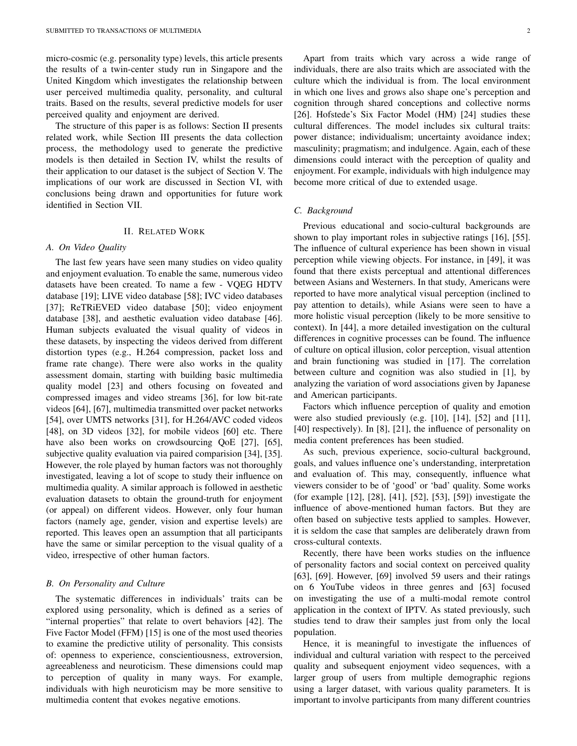micro-cosmic (e.g. personality type) levels, this article presents the results of a twin-center study run in Singapore and the United Kingdom which investigates the relationship between user perceived multimedia quality, personality, and cultural traits. Based on the results, several predictive models for user perceived quality and enjoyment are derived.

The structure of this paper is as follows: Section II presents related work, while Section III presents the data collection process, the methodology used to generate the predictive models is then detailed in Section IV, whilst the results of their application to our dataset is the subject of Section V. The implications of our work are discussed in Section VI, with conclusions being drawn and opportunities for future work identified in Section VII.

## II. RELATED WORK

# *A. On Video Quality*

The last few years have seen many studies on video quality and enjoyment evaluation. To enable the same, numerous video datasets have been created. To name a few - VQEG HDTV database [\[19\]](#page-10-8); LIVE video database [\[58\]](#page-11-6); IVC video databases [\[37\]](#page-10-9); ReTRiEVED video database [\[50\]](#page-11-7); video enjoyment database [\[38\]](#page-10-10), and aesthetic evaluation video database [\[46\]](#page-11-8). Human subjects evaluated the visual quality of videos in these datasets, by inspecting the videos derived from different distortion types (e.g., H.264 compression, packet loss and frame rate change). There were also works in the quality assessment domain, starting with building basic multimedia quality model [\[23\]](#page-10-0) and others focusing on foveated and compressed images and video streams [\[36\]](#page-10-1), for low bit-rate videos [\[64\]](#page-11-2), [\[67\]](#page-11-0), multimedia transmitted over packet networks [\[54\]](#page-11-1), over UMTS networks [\[31\]](#page-10-2), for H.264/AVC coded videos [\[48\]](#page-11-9), on 3D videos [\[32\]](#page-10-11), for mobile videos [\[60\]](#page-11-10) etc. There have also been works on crowdsourcing QoE [\[27\]](#page-10-6), [\[65\]](#page-11-4), subjective quality evaluation via paired comparision [\[34\]](#page-10-12), [\[35\]](#page-10-13). However, the role played by human factors was not thoroughly investigated, leaving a lot of scope to study their influence on multimedia quality. A similar approach is followed in aesthetic evaluation datasets to obtain the ground-truth for enjoyment (or appeal) on different videos. However, only four human factors (namely age, gender, vision and expertise levels) are reported. This leaves open an assumption that all participants have the same or similar perception to the visual quality of a video, irrespective of other human factors.

#### *B. On Personality and Culture*

The systematic differences in individuals' traits can be explored using personality, which is defined as a series of "internal properties" that relate to overt behaviors [\[42\]](#page-10-14). The Five Factor Model (FFM) [\[15\]](#page-10-15) is one of the most used theories to examine the predictive utility of personality. This consists of: openness to experience, conscientiousness, extroversion, agreeableness and neuroticism. These dimensions could map to perception of quality in many ways. For example, individuals with high neuroticism may be more sensitive to multimedia content that evokes negative emotions.

Apart from traits which vary across a wide range of individuals, there are also traits which are associated with the culture which the individual is from. The local environment in which one lives and grows also shape one's perception and cognition through shared conceptions and collective norms [\[26\]](#page-10-16). Hofstede's Six Factor Model (HM) [\[24\]](#page-10-17) studies these cultural differences. The model includes six cultural traits: power distance; individualism; uncertainty avoidance index; masculinity; pragmatism; and indulgence. Again, each of these dimensions could interact with the perception of quality and enjoyment. For example, individuals with high indulgence may become more critical of due to extended usage.

# *C. Background*

Previous educational and socio-cultural backgrounds are shown to play important roles in subjective ratings [\[16\]](#page-10-5), [\[55\]](#page-11-11). The influence of cultural experience has been shown in visual perception while viewing objects. For instance, in [\[49\]](#page-11-12), it was found that there exists perceptual and attentional differences between Asians and Westerners. In that study, Americans were reported to have more analytical visual perception (inclined to pay attention to details), while Asians were seen to have a more holistic visual perception (likely to be more sensitive to context). In [\[44\]](#page-10-18), a more detailed investigation on the cultural differences in cognitive processes can be found. The influence of culture on optical illusion, color perception, visual attention and brain functioning was studied in [\[17\]](#page-10-19). The correlation between culture and cognition was also studied in [\[1\]](#page-10-20), by analyzing the variation of word associations given by Japanese and American participants.

Factors which influence perception of quality and emotion were also studied previously (e.g. [\[10\]](#page-10-3), [\[14\]](#page-10-4), [\[52\]](#page-11-3) and [\[11\]](#page-10-21), [\[40\]](#page-10-22) respectively). In [\[8\]](#page-10-23), [\[21\]](#page-10-24), the influence of personality on media content preferences has been studied.

As such, previous experience, socio-cultural background, goals, and values influence one's understanding, interpretation and evaluation of. This may, consequently, influence what viewers consider to be of 'good' or 'bad' quality. Some works (for example [\[12\]](#page-10-25), [\[28\]](#page-10-26), [\[41\]](#page-10-27), [\[52\]](#page-11-3), [\[53\]](#page-11-13), [\[59\]](#page-11-14)) investigate the influence of above-mentioned human factors. But they are often based on subjective tests applied to samples. However, it is seldom the case that samples are deliberately drawn from cross-cultural contexts.

Recently, there have been works studies on the influence of personality factors and social context on perceived quality [\[63\]](#page-11-15), [\[69\]](#page-11-16). However, [\[69\]](#page-11-16) involved 59 users and their ratings on 6 YouTube videos in three genres and [\[63\]](#page-11-15) focused on investigating the use of a multi-modal remote control application in the context of IPTV. As stated previously, such studies tend to draw their samples just from only the local population.

Hence, it is meaningful to investigate the influences of individual and cultural variation with respect to the perceived quality and subsequent enjoyment video sequences, with a larger group of users from multiple demographic regions using a larger dataset, with various quality parameters. It is important to involve participants from many different countries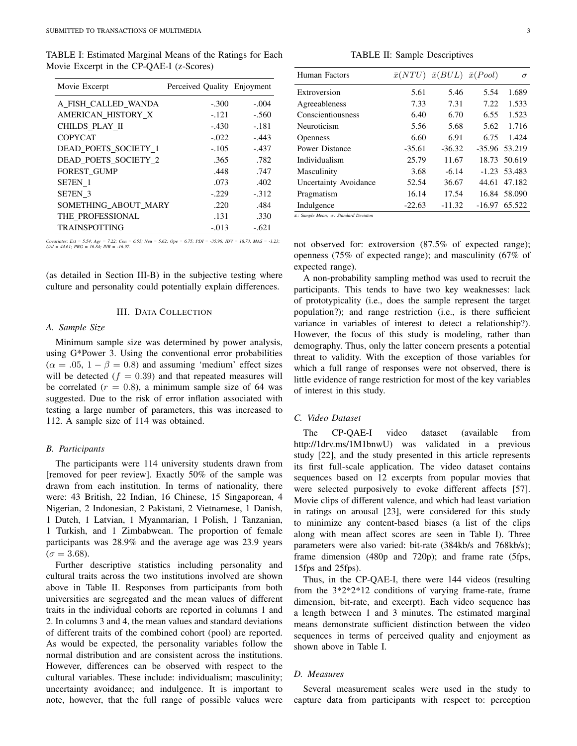<span id="page-2-2"></span>TABLE I: Estimated Marginal Means of the Ratings for Each Movie Excerpt in the CP-QAE-I (z-Scores)

| Movie Excerpt               | Perceived Ouality Enjoyment |         |
|-----------------------------|-----------------------------|---------|
| A FISH CALLED WANDA         | $-.300$                     | $-.004$ |
| AMERICAN HISTORY X          | $-.121$                     | $-.560$ |
| CHILDS PLAY II              | $-.430$                     | $-.181$ |
| <b>COPYCAT</b>              | $-.022$                     | $-443$  |
| <b>DEAD POETS SOCIETY 1</b> | $-.105$                     | $-.437$ |
| <b>DEAD POETS SOCIETY 2</b> | .365                        | .782    |
| <b>FOREST GUMP</b>          | .448                        | .747    |
| SE7EN 1                     | .073                        | .402    |
| SE7EN <sub>3</sub>          | $-.229$                     | $-312$  |
| SOMETHING ABOUT MARY        | .220                        | .484    |
| THE PROFESSIONAL            | .131                        | .330    |
| <b>TRAINSPOTTING</b>        | $-.013$                     | $-.621$ |

*Covariates: Ext = 5.54; Agr = 7.22; Con = 6.55; Neu = 5.62; Ope = 6.75; PDI = -35.96; IDV = 18.73; MAS = -1.23; UAI = 44.61; PRG = 16.84; IVR = -16.97.*

(as detailed in Section [III-B\)](#page-2-0) in the subjective testing where culture and personality could potentially explain differences.

## III. DATA COLLECTION

#### *A. Sample Size*

Minimum sample size was determined by power analysis, using G\*Power 3. Using the conventional error probabilities  $(\alpha = .05, 1 - \beta = 0.8)$  and assuming 'medium' effect sizes will be detected  $(f = 0.39)$  and that repeated measures will be correlated  $(r = 0.8)$ , a minimum sample size of 64 was suggested. Due to the risk of error inflation associated with testing a large number of parameters, this was increased to 112. A sample size of 114 was obtained.

#### <span id="page-2-0"></span>*B. Participants*

The participants were 114 university students drawn from [removed for peer review]. Exactly 50% of the sample was drawn from each institution. In terms of nationality, there were: 43 British, 22 Indian, 16 Chinese, 15 Singaporean, 4 Nigerian, 2 Indonesian, 2 Pakistani, 2 Vietnamese, 1 Danish, 1 Dutch, 1 Latvian, 1 Myanmarian, 1 Polish, 1 Tanzanian, 1 Turkish, and 1 Zimbabwean. The proportion of female participants was 28.9% and the average age was 23.9 years  $(\sigma = 3.68).$ 

Further descriptive statistics including personality and cultural traits across the two institutions involved are shown above in Table [II.](#page-2-1) Responses from participants from both universities are segregated and the mean values of different traits in the individual cohorts are reported in columns 1 and 2. In columns 3 and 4, the mean values and standard deviations of different traits of the combined cohort (pool) are reported. As would be expected, the personality variables follow the normal distribution and are consistent across the institutions. However, differences can be observed with respect to the cultural variables. These include: individualism; masculinity; uncertainty avoidance; and indulgence. It is important to note, however, that the full range of possible values were

TABLE II: Sample Descriptives

<span id="page-2-1"></span>

| Human Factors         |          | $\bar{x}(NTU)$ $\bar{x}(BUL)$ $\bar{x}(Pool)$ |          | $\sigma$       |
|-----------------------|----------|-----------------------------------------------|----------|----------------|
| Extroversion          | 5.61     | 5.46                                          | 5.54     | 1.689          |
| Agreeableness         | 7.33     | 7.31                                          | 7.22     | 1.533          |
| Conscientiousness     | 6.40     | 6.70                                          | 6.55     | 1.523          |
| Neuroticism           | 5.56     | 5.68                                          | 5.62     | 1.716          |
| <b>Openness</b>       | 6.60     | 6.91                                          | 6.75     | 1.424          |
| Power Distance        | $-35.61$ | $-36.32$                                      |          | -35.96 53.219  |
| Individualism         | 25.79    | 11.67                                         | 18.73    | 50.619         |
| Masculinity           | 3.68     | $-6.14$                                       |          | $-1.23$ 53.483 |
| Uncertainty Avoidance | 52.54    | 36.67                                         | 44.61    | 47.182         |
| Pragmatism            | 16.14    | 17.54                                         |          | 16.84 58.090   |
| Indulgence            | $-22.63$ | $-11.32$                                      | $-16.97$ | 65.522         |
|                       |          |                                               |          |                |

x¯*: Sample Mean;* σ*: Standard Deviaton*

not observed for: extroversion (87.5% of expected range); openness (75% of expected range); and masculinity (67% of expected range).

A non-probability sampling method was used to recruit the participants. This tends to have two key weaknesses: lack of prototypicality (i.e., does the sample represent the target population?); and range restriction (i.e., is there sufficient variance in variables of interest to detect a relationship?). However, the focus of this study is modeling, rather than demography. Thus, only the latter concern presents a potential threat to validity. With the exception of those variables for which a full range of responses were not observed, there is little evidence of range restriction for most of the key variables of interest in this study.

#### *C. Video Dataset*

The CP-QAE-I video dataset (available from http://1drv.ms/1M1bnwU) was validated in a previous study [\[22\]](#page-10-28), and the study presented in this article represents its first full-scale application. The video dataset contains sequences based on 12 excerpts from popular movies that were selected purposively to evoke different affects [\[57\]](#page-11-17). Movie clips of different valence, and which had least variation in ratings on arousal [23], were considered for this study to minimize any content-based biases (a list of the clips along with mean affect scores are seen in Table [I\)](#page-2-2). Three parameters were also varied: bit-rate (384kb/s and 768kb/s); frame dimension (480p and 720p); and frame rate (5fps, 15fps and 25fps).

Thus, in the CP-QAE-I, there were 144 videos (resulting from the 3\*2\*2\*12 conditions of varying frame-rate, frame dimension, bit-rate, and excerpt). Each video sequence has a length between 1 and 3 minutes. The estimated marginal means demonstrate sufficient distinction between the video sequences in terms of perceived quality and enjoyment as shown above in Table [I.](#page-2-2)

# *D. Measures*

Several measurement scales were used in the study to capture data from participants with respect to: perception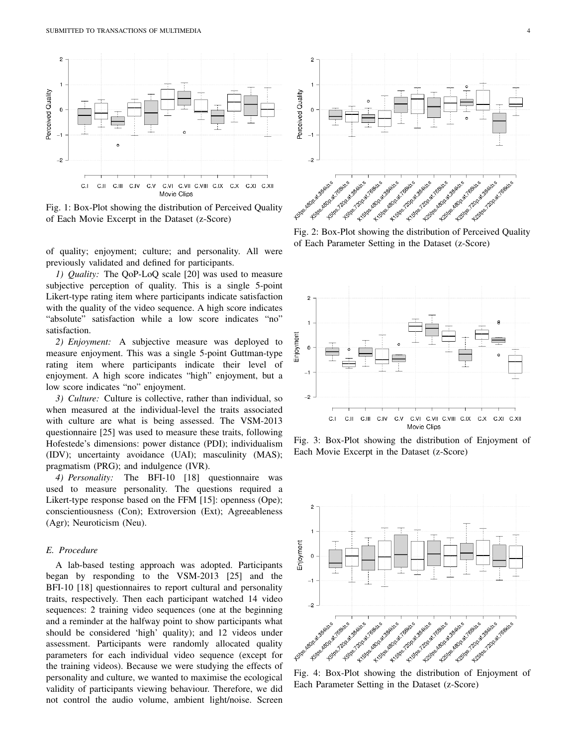

Fig. 1: Box-Plot showing the distribution of Perceived Quality of Each Movie Excerpt in the Dataset (z-Score)

of quality; enjoyment; culture; and personality. All were previously validated and defined for participants.

*1) Quality:* The QoP-LoQ scale [\[20\]](#page-10-29) was used to measure subjective perception of quality. This is a single 5-point Likert-type rating item where participants indicate satisfaction with the quality of the video sequence. A high score indicates "absolute" satisfaction while a low score indicates "no" satisfaction.

*2) Enjoyment:* A subjective measure was deployed to measure enjoyment. This was a single 5-point Guttman-type rating item where participants indicate their level of enjoyment. A high score indicates "high" enjoyment, but a low score indicates "no" enjoyment.

*3) Culture:* Culture is collective, rather than individual, so when measured at the individual-level the traits associated with culture are what is being assessed. The VSM-2013 questionnaire [\[25\]](#page-10-30) was used to measure these traits, following Hofestede's dimensions: power distance (PDI); individualism (IDV); uncertainty avoidance (UAI); masculinity (MAS); pragmatism (PRG); and indulgence (IVR).

*4) Personality:* The BFI-10 [\[18\]](#page-10-31) questionnaire was used to measure personality. The questions required a Likert-type response based on the FFM [\[15\]](#page-10-15): openness (Ope); conscientiousness (Con); Extroversion (Ext); Agreeableness (Agr); Neuroticism (Neu).

## *E. Procedure*

A lab-based testing approach was adopted. Participants began by responding to the VSM-2013 [\[25\]](#page-10-30) and the BFI-10 [\[18\]](#page-10-31) questionnaires to report cultural and personality traits, respectively. Then each participant watched 14 video sequences: 2 training video sequences (one at the beginning and a reminder at the halfway point to show participants what should be considered 'high' quality); and 12 videos under assessment. Participants were randomly allocated quality parameters for each individual video sequence (except for the training videos). Because we were studying the effects of personality and culture, we wanted to maximise the ecological validity of participants viewing behaviour. Therefore, we did not control the audio volume, ambient light/noise. Screen

<span id="page-3-1"></span>

of Each Parameter Setting in the Dataset (z-Score)



Fig. 3: Box-Plot showing the distribution of Enjoyment of Each Movie Excerpt in the Dataset (z-Score)

<span id="page-3-0"></span>

Each Parameter Setting in the Dataset (z-Score)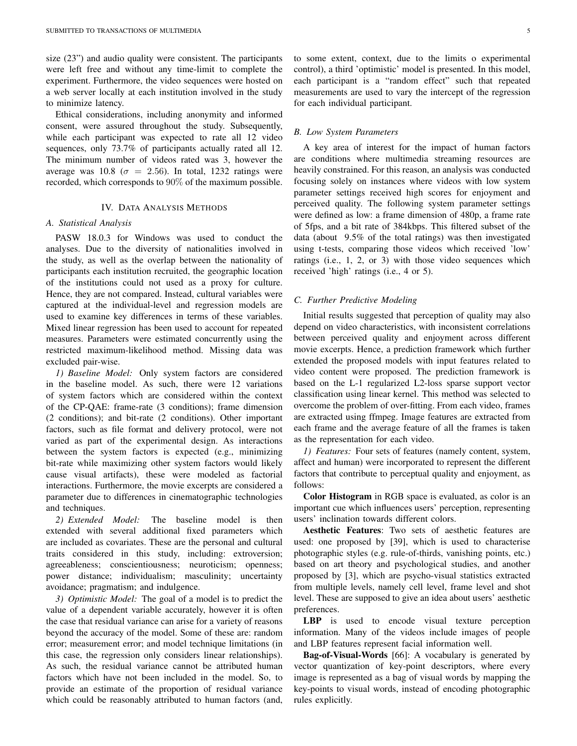size (23") and audio quality were consistent. The participants were left free and without any time-limit to complete the experiment. Furthermore, the video sequences were hosted on a web server locally at each institution involved in the study to minimize latency.

Ethical considerations, including anonymity and informed consent, were assured throughout the study. Subsequently, while each participant was expected to rate all 12 video sequences, only 73.7% of participants actually rated all 12. The minimum number of videos rated was 3, however the average was 10.8 ( $\sigma = 2.56$ ). In total, 1232 ratings were recorded, which corresponds to 90% of the maximum possible.

#### IV. DATA ANALYSIS METHODS

## *A. Statistical Analysis*

PASW 18.0.3 for Windows was used to conduct the analyses. Due to the diversity of nationalities involved in the study, as well as the overlap between the nationality of participants each institution recruited, the geographic location of the institutions could not used as a proxy for culture. Hence, they are not compared. Instead, cultural variables were captured at the individual-level and regression models are used to examine key differences in terms of these variables. Mixed linear regression has been used to account for repeated measures. Parameters were estimated concurrently using the restricted maximum-likelihood method. Missing data was excluded pair-wise.

*1) Baseline Model:* Only system factors are considered in the baseline model. As such, there were 12 variations of system factors which are considered within the context of the CP-QAE: frame-rate (3 conditions); frame dimension (2 conditions); and bit-rate (2 conditions). Other important factors, such as file format and delivery protocol, were not varied as part of the experimental design. As interactions between the system factors is expected (e.g., minimizing bit-rate while maximizing other system factors would likely cause visual artifacts), these were modeled as factorial interactions. Furthermore, the movie excerpts are considered a parameter due to differences in cinematographic technologies and techniques.

*2) Extended Model:* The baseline model is then extended with several additional fixed parameters which are included as covariates. These are the personal and cultural traits considered in this study, including: extroversion; agreeableness; conscientiousness; neuroticism; openness; power distance; individualism; masculinity; uncertainty avoidance; pragmatism; and indulgence.

*3) Optimistic Model:* The goal of a model is to predict the value of a dependent variable accurately, however it is often the case that residual variance can arise for a variety of reasons beyond the accuracy of the model. Some of these are: random error; measurement error; and model technique limitations (in this case, the regression only considers linear relationships). As such, the residual variance cannot be attributed human factors which have not been included in the model. So, to provide an estimate of the proportion of residual variance which could be reasonably attributed to human factors (and, to some extent, context, due to the limits o experimental control), a third 'optimistic' model is presented. In this model, each participant is a "random effect" such that repeated measurements are used to vary the intercept of the regression for each individual participant.

## *B. Low System Parameters*

A key area of interest for the impact of human factors are conditions where multimedia streaming resources are heavily constrained. For this reason, an analysis was conducted focusing solely on instances where videos with low system parameter settings received high scores for enjoyment and perceived quality. The following system parameter settings were defined as low: a frame dimension of 480p, a frame rate of 5fps, and a bit rate of 384kbps. This filtered subset of the data (about 9.5% of the total ratings) was then investigated using t-tests, comparing those videos which received 'low' ratings (i.e., 1, 2, or 3) with those video sequences which received 'high' ratings (i.e., 4 or 5).

#### *C. Further Predictive Modeling*

Initial results suggested that perception of quality may also depend on video characteristics, with inconsistent correlations between perceived quality and enjoyment across different movie excerpts. Hence, a prediction framework which further extended the proposed models with input features related to video content were proposed. The prediction framework is based on the L-1 regularized L2-loss sparse support vector classification using linear kernel. This method was selected to overcome the problem of over-fitting. From each video, frames are extracted using ffmpeg. Image features are extracted from each frame and the average feature of all the frames is taken as the representation for each video.

*1) Features:* Four sets of features (namely content, system, affect and human) were incorporated to represent the different factors that contribute to perceptual quality and enjoyment, as follows:

Color Histogram in RGB space is evaluated, as color is an important cue which influences users' perception, representing users' inclination towards different colors.

Aesthetic Features: Two sets of aesthetic features are used: one proposed by [\[39\]](#page-10-32), which is used to characterise photographic styles (e.g. rule-of-thirds, vanishing points, etc.) based on art theory and psychological studies, and another proposed by [\[3\]](#page-10-33), which are psycho-visual statistics extracted from multiple levels, namely cell level, frame level and shot level. These are supposed to give an idea about users' aesthetic preferences.

LBP is used to encode visual texture perception information. Many of the videos include images of people and LBP features represent facial information well.

Bag-of-Visual-Words [\[66\]](#page-11-18): A vocabulary is generated by vector quantization of key-point descriptors, where every image is represented as a bag of visual words by mapping the key-points to visual words, instead of encoding photographic rules explicitly.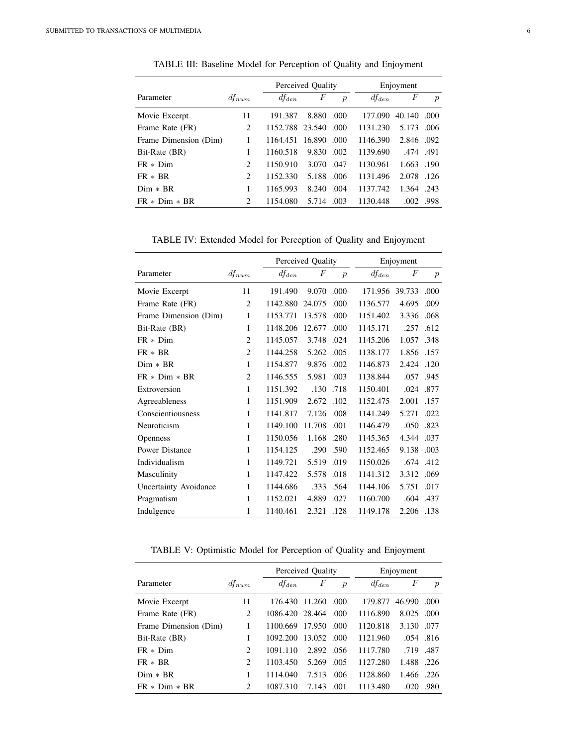<span id="page-5-0"></span>

|                       |                               |            | Perceived Quality |                  |            | Enjoyment  |                  |
|-----------------------|-------------------------------|------------|-------------------|------------------|------------|------------|------------------|
| Parameter             | $df_{num}$                    | $df_{den}$ | $_{F}$            | $\boldsymbol{p}$ | $df_{den}$ | $_{F}$     | $\boldsymbol{p}$ |
| Movie Excerpt         | 11                            | 191.387    | 8.880             | .000             | 177.090    | 40.140     | .000             |
| Frame Rate (FR)       | 2                             | 1152.788   | 23.540            | .000             | 1131.230   | 5.173      | .006             |
| Frame Dimension (Dim) | 1                             | 1164.451   | 16.890            | -000             | 1146.390   | 2.846 .092 |                  |
| Bit-Rate (BR)         | 1                             | 1160.518   | 9.830             | .002             | 1139.690   | .474.491   |                  |
| $FR * Dim$            | 2                             | 1150.910   | 3.070             | .047             | 1130.961   | 1.663 .190 |                  |
| $FR * RR$             | $\mathfrak{D}_{\mathfrak{p}}$ | 1152.330   | 5.188             | .006             | 1131.496   | 2.078      | .126             |
| $Dim * RR$            |                               | 1165.993   | 8.240             | .004             | 1137.742   | 1.364 243  |                  |
| $FR * Dim * RR$       | 2                             | 1154.080   | 5.714             | .003             | 1130.448   | .002       | .998             |

TABLE III: Baseline Model for Perception of Quality and Enjoyment

TABLE IV: Extended Model for Perception of Quality and Enjoyment

<span id="page-5-1"></span>

|                       |                |            | Perceived Quality |                  |            | Enjoyment      |                  |
|-----------------------|----------------|------------|-------------------|------------------|------------|----------------|------------------|
| Parameter             | $df_{num}$     | $df_{den}$ | F                 | $\boldsymbol{p}$ | $df_{den}$ | $\overline{F}$ | $\boldsymbol{p}$ |
| Movie Excerpt         | 11             | 191.490    | 9.070             | .000             | 171.956    | 39.733         | .000.            |
| Frame Rate (FR)       | $\overline{c}$ | 1142.880   | 24.075            | .000             | 1136.577   | 4.695          | .009             |
| Frame Dimension (Dim) | 1              | 1153.771   | 13.578            | .000             | 1151.402   | 3.336          | .068             |
| Bit-Rate (BR)         | 1              | 1148.206   | 12.677            | .000             | 1145.171   | .257           | .612             |
| $FR * Dim$            | $\overline{c}$ | 1145.057   | 3.748             | .024             | 1145.206   | 1.057          | .348             |
| $FR * BR$             | 2              | 1144.258   | 5.262             | .005             | 1138.177   | 1.856          | .157             |
| $Dim * BR$            | 1              | 1154.877   | 9.876             | .002             | 1146.873   | 2.424          | .120             |
| $FR * Dim * BR$       | $\overline{c}$ | 1146.555   | 5.981             | .003             | 1138.844   | .057           | .945             |
| Extroversion          | 1              | 1151.392   | .130              | .718             | 1150.401   | .024           | .877             |
| Agreeableness         | 1              | 1151.909   | 2.672             | .102             | 1152.475   | 2.001          | .157             |
| Conscientiousness     | 1              | 1141.817   | 7.126             | .008             | 1141.249   | 5.271          | .022             |
| Neuroticism           | 1              | 1149.100   | 11.708            | .001             | 1146.479   | .050           | .823             |
| <b>Openness</b>       | 1              | 1150.056   | 1.168             | .280             | 1145.365   | 4.344          | .037             |
| <b>Power Distance</b> | 1              | 1154.125   | .290              | .590             | 1152.465   | 9.138          | .003             |
| Individualism         | 1              | 1149.721   | 5.519             | .019             | 1150.026   | .674           | .412             |
| Masculinity           | 1              | 1147.422   | 5.578             | .018             | 1141.312   | 3.312          | .069             |
| Uncertainty Avoidance | 1              | 1144.686   | .333              | .564             | 1144.106   | 5.751          | .017             |
| Pragmatism            | 1              | 1152.021   | 4.889             | .027             | 1160.700   | .604.437       |                  |
| Indulgence            | 1              | 1140.461   | 2.321             | .128             | 1149.178   | 2.206          | .138             |

TABLE V: Optimistic Model for Perception of Quality and Enjoyment

<span id="page-5-2"></span>

|                       |                             |                 | Perceived Quality |                  |            | Enjoyment  |                  |
|-----------------------|-----------------------------|-----------------|-------------------|------------------|------------|------------|------------------|
| Parameter             | $df_{num}$                  | $df_{den}$      | $\,F$             | $\boldsymbol{p}$ | $df_{den}$ | $_{F}$     | $\boldsymbol{p}$ |
| Movie Excerpt         | 11                          | 176.430         | 11.260            | .000             | 179.877    | 46.990     | .000             |
| Frame Rate (FR)       | 2                           | 1086.420 28.464 |                   | .000             | 1116.890   | 8.025      | .000             |
| Frame Dimension (Dim) | 1                           | 1100.669        | 17.950            | .000             | 1120.818   | 3.130 .077 |                  |
| Bit-Rate (BR)         |                             | 1092.200        | 13.052 .000       |                  | 1121.960   |            | .054 .816        |
| $FR * Dim$            | $\mathfrak{D}$              | 1091.110        | 2.892 .056        |                  | 1117.780   | .719.487   |                  |
| $FR * BR$             | $\mathfrak{D}$              | 1103.450        | 5.269             | .005             | 1127.280   | 1.488      | .226             |
| $Dim * RR$            |                             | 1114.040        | 7.513             | .006             | 1128.860   | 1.466.226  |                  |
| $FR * Dim * RR$       | $\mathcal{D}_{\mathcal{L}}$ | 1087.310        | 7.143             | .001             | 1113.480   | .020       | .980             |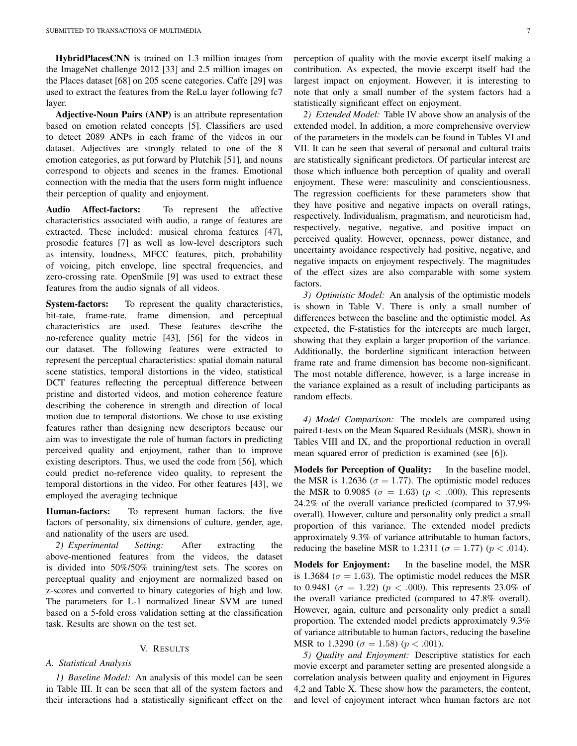HybridPlacesCNN is trained on 1.3 million images from the ImageNet challenge 2012 [\[33\]](#page-10-34) and 2.5 million images on the Places dataset [\[68\]](#page-11-19) on 205 scene categories. Caffe [\[29\]](#page-10-35) was used to extract the features from the ReLu layer following fc7 layer.

Adjective-Noun Pairs (ANP) is an attribute representation based on emotion related concepts [\[5\]](#page-10-36). Classifiers are used to detect 2089 ANPs in each frame of the videos in our dataset. Adjectives are strongly related to one of the 8 emotion categories, as put forward by Plutchik [\[51\]](#page-11-20), and nouns correspond to objects and scenes in the frames. Emotional connection with the media that the users form might influence their perception of quality and enjoyment.

Audio Affect-factors: To represent the affective characteristics associated with audio, a range of features are extracted. These included: musical chroma features [\[47\]](#page-11-21), prosodic features [\[7\]](#page-10-37) as well as low-level descriptors such as intensity, loudness, MFCC features, pitch, probability of voicing, pitch envelope, line spectral frequencies, and zero-crossing rate. OpenSmile [\[9\]](#page-10-38) was used to extract these features from the audio signals of all videos.

System-factors: To represent the quality characteristics, bit-rate, frame-rate, frame dimension, and perceptual characteristics are used. These features describe the no-reference quality metric [\[43\]](#page-10-39), [\[56\]](#page-11-22) for the videos in our dataset. The following features were extracted to represent the perceptual characteristics: spatial domain natural scene statistics, temporal distortions in the video, statistical DCT features reflecting the perceptual difference between pristine and distorted videos, and motion coherence feature describing the coherence in strength and direction of local motion due to temporal distortions. We chose to use existing features rather than designing new descriptors because our aim was to investigate the role of human factors in predicting perceived quality and enjoyment, rather than to improve existing descriptors. Thus, we used the code from [\[56\]](#page-11-22), which could predict no-reference video quality, to represent the temporal distortions in the video. For other features [\[43\]](#page-10-39), we employed the averaging technique

Human-factors: To represent human factors, the five factors of personality, six dimensions of culture, gender, age, and nationality of the users are used.

*2) Experimental Setting:* After extracting the above-mentioned features from the videos, the dataset is divided into 50%/50% training/test sets. The scores on perceptual quality and enjoyment are normalized based on z-scores and converted to binary categories of high and low. The parameters for L-1 normalized linear SVM are tuned based on a 5-fold cross validation setting at the classification task. Results are shown on the test set.

## V. RESULTS

#### *A. Statistical Analysis*

*1) Baseline Model:* An analysis of this model can be seen in Table [III.](#page-5-0) It can be seen that all of the system factors and their interactions had a statistically significant effect on the perception of quality with the movie excerpt itself making a contribution. As expected, the movie excerpt itself had the largest impact on enjoyment. However, it is interesting to note that only a small number of the system factors had a statistically significant effect on enjoyment.

*2) Extended Model:* Table [IV](#page-5-1) above show an analysis of the extended model. In addition, a more comprehensive overview of the parameters in the models can be found in Tables [VI](#page-7-0) and [VII.](#page-7-1) It can be seen that several of personal and cultural traits are statistically significant predictors. Of particular interest are those which influence both perception of quality and overall enjoyment. These were: masculinity and conscientiousness. The regression coefficients for these parameters show that they have positive and negative impacts on overall ratings, respectively. Individualism, pragmatism, and neuroticism had, respectively, negative, negative, and positive impact on perceived quality. However, openness, power distance, and uncertainty avoidance respectively had positive, negative, and negative impacts on enjoyment respectively. The magnitudes of the effect sizes are also comparable with some system factors.

*3) Optimistic Model:* An analysis of the optimistic models is shown in Table [V.](#page-5-2) There is only a small number of differences between the baseline and the optimistic model. As expected, the F-statistics for the intercepts are much larger, showing that they explain a larger proportion of the variance. Additionally, the borderline significant interaction between frame rate and frame dimension has become non-significant. The most notable difference, however, is a large increase in the variance explained as a result of including participants as random effects.

*4) Model Comparison:* The models are compared using paired t-tests on the Mean Squared Residuals (MSR), shown in Tables [VIII](#page-7-2) and [IX,](#page-7-3) and the proportional reduction in overall mean squared error of prediction is examined (see [\[6\]](#page-10-40)).

Models for Perception of Quality: In the baseline model, the MSR is 1.2636 ( $\sigma = 1.77$ ). The optimistic model reduces the MSR to 0.9085 ( $\sigma = 1.63$ ) ( $p < .000$ ). This represents 24.2% of the overall variance predicted (compared to 37.9% overall). However, culture and personality only predict a small proportion of this variance. The extended model predicts approximately 9.3% of variance attributable to human factors, reducing the baseline MSR to 1.2311 ( $\sigma = 1.77$ ) ( $p < .014$ ).

Models for Enjoyment: In the baseline model, the MSR is 1.3684 ( $\sigma = 1.63$ ). The optimistic model reduces the MSR to 0.9481 ( $\sigma = 1.22$ ) ( $p < .000$ ). This represents 23.0% of the overall variance predicted (compared to 47.8% overall). However, again, culture and personality only predict a small proportion. The extended model predicts approximately 9.3% of variance attributable to human factors, reducing the baseline MSR to 1.3290 ( $\sigma = 1.58$ ) ( $p < .001$ ).

*5) Quality and Enjoyment:* Descriptive statistics for each movie excerpt and parameter setting are presented alongside a correlation analysis between quality and enjoyment in Figures [4](#page-3-0)[,2](#page-3-1) and Table [X.](#page-7-4) These show how the parameters, the content, and level of enjoyment interact when human factors are not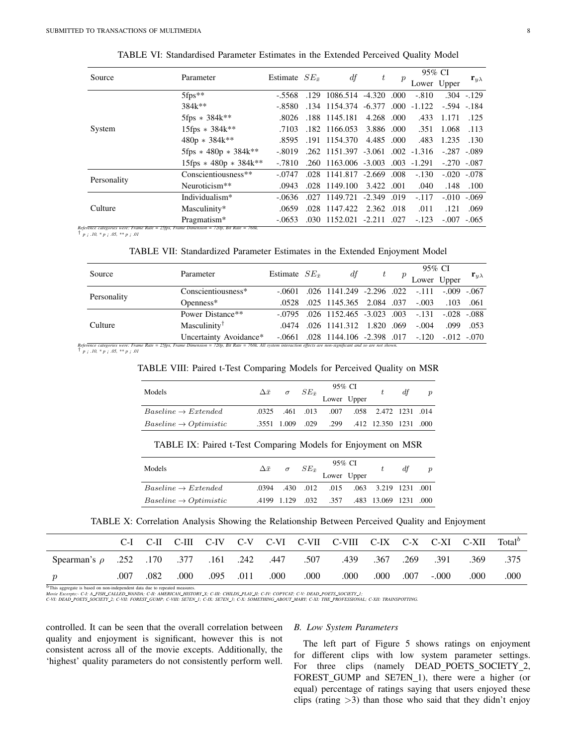<span id="page-7-0"></span>

| Source                                                                             | Parameter                | Estimate $SE_{\bar{x}}$ |      | df              | t          |                  |                | 95% CI      |                         |  |
|------------------------------------------------------------------------------------|--------------------------|-------------------------|------|-----------------|------------|------------------|----------------|-------------|-------------------------|--|
|                                                                                    |                          |                         |      |                 |            | $\boldsymbol{p}$ |                | Lower Upper | $\mathbf{r}_{y\lambda}$ |  |
|                                                                                    | $5$ fps**                | $-.5568$                | .129 | 1086.514 -4.320 |            | .000.            | $-.810$        |             | $.304 - .129$           |  |
|                                                                                    | $384k**$                 | $-.8580$                | .134 | 1154.374        | $-6.377$   | .000             | $-1.122$       |             | $-.594-.184$            |  |
|                                                                                    | $5$ fps * 384 $k$ **     | .8026                   |      | .188 1145.181   | 4.268      | .000             | .433           | 1.171       | .125                    |  |
| System                                                                             | $15$ fps * 384 $k$ **    | .7103                   |      | .182 1166.053   | 3.886      | .000.            | .351           | 1.068       | .113                    |  |
|                                                                                    | $480p * 384k**$          | .8595                   | .191 | 1154.370        | 4.485      | .000.            | .483           | 1.235       | .130                    |  |
|                                                                                    | $5$ fps * 480p * 384k**  | $-.8019$                |      | .262 1151.397   | $-3.061$   |                  | $.002 - 1.316$ |             | $-.287-.089$            |  |
|                                                                                    | $15$ fps * 480p * 384k** | $-.7810$                | .260 | 1163,006 -3,003 |            | .003             | $-1.291$       |             | $-.270-.087$            |  |
| Personality                                                                        | Conscientiousness**      | $-.0747$                |      | .028 1141.817   | $-2.669$   | .008             | $-.130$        |             | $-.020-.078$            |  |
|                                                                                    | Neuroticism**            | .0943                   | .028 | 1149.100        | 3.422      | .001             | .040           | .148        | .100                    |  |
|                                                                                    | Individualism*           | $-.0636$                | .027 | 1149.721        | $-2.349$   | .019             | $-.117$        | $-.010$     | $-.069$                 |  |
| Culture                                                                            | Masculinity*             | .0659                   | .028 | 1147.422        | 2.362 .018 |                  | .011           | .121        | .069                    |  |
| wango agtagorias wara: Eramo Rato — 25fns, Eramo Dimansion — 720n, Dit Rato — 768b | Pragmatism*              | $-.0653$                | .030 | 1152.021        | $-2.211$   | .027             | $-.123$        | $-.007$     | $-.065$                 |  |

TABLE VI: Standardised Parameter Estimates in the Extended Perceived Quality Model

<span id="page-7-1"></span>*Reference categories were: Frame Rate = 25fps, Frame Dimension = 720p, Bit Rate = 768k.* † *p ¡ .10, \* p ¡ .05, \*\* p ¡ .01*

TABLE VII: Standardized Parameter Estimates in the Extended Enjoyment Model

| Source                                                                                                                                                         | Parameter                | Estimate $SE_{\bar{x}}$ | df                              |  | 95% CI      |              |                      |
|----------------------------------------------------------------------------------------------------------------------------------------------------------------|--------------------------|-------------------------|---------------------------------|--|-------------|--------------|----------------------|
|                                                                                                                                                                |                          |                         |                                 |  | Lower Upper |              | ${\bf r}_{u\lambda}$ |
| Personality                                                                                                                                                    | Conscientiousness*       | - 0601                  | .020 .026 .021 .0249 .024       |  | $-.111$     | $-.009$      | $-.067$              |
|                                                                                                                                                                | Openness*                | .0528                   | .025 1145.365 2.084 .037        |  | $-.003$     | .103         | .061                 |
|                                                                                                                                                                | Power Distance**         | $-0795$                 | .026 1152.465 -3.023 .003       |  | $-.131$     | $-.028-.088$ |                      |
| Culture                                                                                                                                                        | Masculinity <sup>†</sup> | .0474                   | .026 1141.312 1.820 .069        |  | $-.004$     | .099         | .053                 |
| ference categories were: Frame Rate = 25fps, Frame Dimension = 720p, Bit Rate = 768k. All system interaction effects are non-significant and so are not shown. | Uncertainty Avoidance*   | $-.0661$                | .028 1144.106 -2.398 .017 -.120 |  |             |              | $-.012-.070$         |

<span id="page-7-2"></span>† *p ¡ .10, \* p ¡ .05, \*\* p ¡ .01*

TABLE VIII: Paired t-Test Comparing Models for Perceived Quality on MSR

| Models                            | $\Delta \bar{x}$ | $\sigma$ | $SE_{\bar{\bm{x}}}$ | 95% CI |             |                                             | df | $\boldsymbol{p}$ |
|-----------------------------------|------------------|----------|---------------------|--------|-------------|---------------------------------------------|----|------------------|
|                                   |                  |          |                     |        | Lower Upper |                                             |    |                  |
| $Baseline \rightarrow Extended$   |                  |          |                     |        |             | .0325 .461 .013 .007 .058 2.472 1231 .014   |    |                  |
| $Baseline \rightarrow Optimistic$ |                  |          |                     |        |             | .3551 1.009 .029 .299 .412 12.350 1231 .000 |    |                  |

TABLE IX: Paired t-Test Comparing Models for Enjoyment on MSR

| Models                            | $\Delta \bar{x}$ | $\sigma = SE_{\bar{x}}$ | 95% CI      |                                             | df | $\boldsymbol{p}$ |
|-----------------------------------|------------------|-------------------------|-------------|---------------------------------------------|----|------------------|
|                                   |                  |                         | Lower Upper |                                             |    |                  |
| $Baseline \rightarrow Extended$   |                  |                         |             | .0394 .430 .012 .015 .063 3.219 1231 .001   |    |                  |
| $Baseline \rightarrow Optimistic$ |                  |                         |             | .4199 1.129 .032 .357 .483 13.069 1231 .000 |    |                  |

<span id="page-7-3"></span>TABLE X: Correlation Analysis Showing the Relationship Between Perceived Quality and Enjoyment

<span id="page-7-4"></span>

|                                                                                         |      |      |      |           |      |      | C-I C-II C-III C-IV C-V C-VI C-VII C-VIII C-IX C-X C-XI C-XII |      |      |         |      | Total <sup><math>\circ</math></sup> |
|-----------------------------------------------------------------------------------------|------|------|------|-----------|------|------|---------------------------------------------------------------|------|------|---------|------|-------------------------------------|
| 391. 369. 369. 439. 439. 507. 447. 242. 161. 377. 170. 252. 259. Spearman's $\rho$ 252. |      |      |      |           |      |      |                                                               |      |      |         | .369 | .375                                |
|                                                                                         | .007 | .082 | .000 | .095 .011 | .000 | .000 | .000                                                          | .000 | .007 | $-.000$ | .000 | .000                                |

.<br>Movie Excepps:- C.H. A\_FISH\_CALLED\_WANDA; C.H. :MERICAN\_HISTORY\_X; C-III: CHILDS\_PLAY\_II; C-IV: COPYCAT; C-V: DEAD\_POETS\_SOCIETY\_I;<br>Movie Excepps:- C.H. A\_FISH\_CALLED\_WANDA; C-III: MERICAN\_HISTORY\_X; C-III: CHILDS\_PLAY\_

controlled. It can be seen that the overall correlation between quality and enjoyment is significant, however this is not consistent across all of the movie excepts. Additionally, the 'highest' quality parameters do not consistently perform well.

# *B. Low System Parameters*

The left part of Figure [5](#page-8-0) shows ratings on enjoyment for different clips with low system parameter settings. For three clips (namely DEAD\_POETS\_SOCIETY\_2, FOREST\_GUMP and SE7EN\_1), there were a higher (or equal) percentage of ratings saying that users enjoyed these clips (rating  $>3$ ) than those who said that they didn't enjoy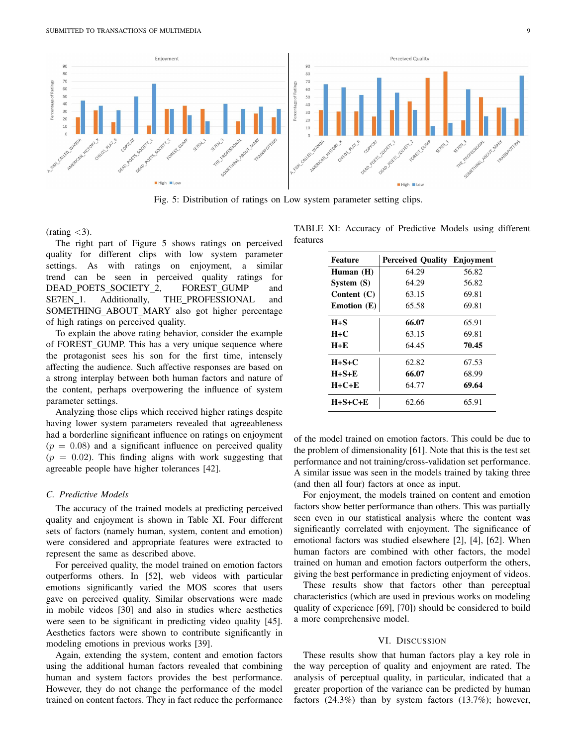<span id="page-8-0"></span>

Fig. 5: Distribution of ratings on Low system parameter setting clips.

 $(rating <3)$ .

The right part of Figure [5](#page-8-0) shows ratings on perceived quality for different clips with low system parameter settings. As with ratings on enjoyment, a similar trend can be seen in perceived quality ratings for DEAD POETS SOCIETY 2, FOREST GUMP and SE7EN<sub>\_1</sub>. Additionally, THE\_PROFESSIONAL and SOMETHING ABOUT MARY also got higher percentage of high ratings on perceived quality.

To explain the above rating behavior, consider the example of FOREST GUMP. This has a very unique sequence where the protagonist sees his son for the first time, intensely affecting the audience. Such affective responses are based on a strong interplay between both human factors and nature of the content, perhaps overpowering the influence of system parameter settings.

Analyzing those clips which received higher ratings despite having lower system parameters revealed that agreeableness had a borderline significant influence on ratings on enjoyment  $(p = 0.08)$  and a significant influence on perceived quality  $(p = 0.02)$ . This finding aligns with work suggesting that agreeable people have higher tolerances [\[42\]](#page-10-14).

#### *C. Predictive Models*

The accuracy of the trained models at predicting perceived quality and enjoyment is shown in Table [XI.](#page-8-1) Four different sets of factors (namely human, system, content and emotion) were considered and appropriate features were extracted to represent the same as described above.

For perceived quality, the model trained on emotion factors outperforms others. In [\[52\]](#page-11-3), web videos with particular emotions significantly varied the MOS scores that users gave on perceived quality. Similar observations were made in mobile videos [\[30\]](#page-10-41) and also in studies where aesthetics were seen to be significant in predicting video quality [\[45\]](#page-11-23). Aesthetics factors were shown to contribute significantly in modeling emotions in previous works [\[39\]](#page-10-32).

Again, extending the system, content and emotion factors using the additional human factors revealed that combining human and system factors provides the best performance. However, they do not change the performance of the model trained on content factors. They in fact reduce the performance

<span id="page-8-1"></span>TABLE XI: Accuracy of Predictive Models using different features

| Feature         | <b>Perceived Quality Enjoyment</b> |       |
|-----------------|------------------------------------|-------|
| Human (H)       | 64.29                              | 56.82 |
| System $(S)$    | 64.29                              | 56.82 |
| Content $(C)$   | 63.15                              | 69.81 |
| Emotion (E)     | 65.58                              | 69.81 |
| H+S             | 66.07                              | 65.91 |
| H+C             | 63.15                              | 69.81 |
| $H + E$         | 64.45                              | 70.45 |
| $H + S + C$     | 62.82                              | 67.53 |
| $H + S + E$     | 66.07                              | 68.99 |
| $H + C + E$     | 64.77                              | 69.64 |
| $H + S + C + E$ | 62.66                              | 65.91 |

of the model trained on emotion factors. This could be due to the problem of dimensionality [\[61\]](#page-11-24). Note that this is the test set performance and not training/cross-validation set performance. A similar issue was seen in the models trained by taking three (and then all four) factors at once as input.

For enjoyment, the models trained on content and emotion factors show better performance than others. This was partially seen even in our statistical analysis where the content was significantly correlated with enjoyment. The significance of emotional factors was studied elsewhere [\[2\]](#page-10-42), [\[4\]](#page-10-43), [\[62\]](#page-11-25). When human factors are combined with other factors, the model trained on human and emotion factors outperform the others, giving the best performance in predicting enjoyment of videos.

These results show that factors other than perceptual characteristics (which are used in previous works on modeling quality of experience [\[69\]](#page-11-16), [\[70\]](#page-11-5)) should be considered to build a more comprehensive model.

#### VI. DISCUSSION

These results show that human factors play a key role in the way perception of quality and enjoyment are rated. The analysis of perceptual quality, in particular, indicated that a greater proportion of the variance can be predicted by human factors (24.3%) than by system factors (13.7%); however,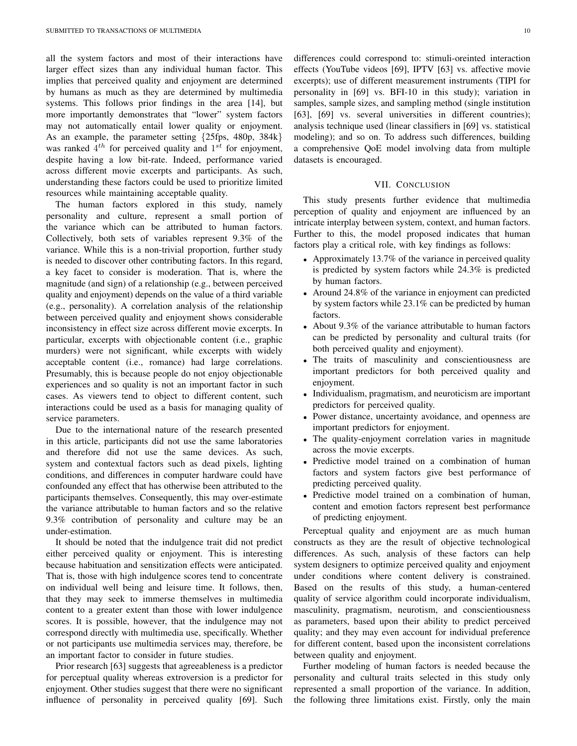all the system factors and most of their interactions have larger effect sizes than any individual human factor. This implies that perceived quality and enjoyment are determined by humans as much as they are determined by multimedia systems. This follows prior findings in the area [\[14\]](#page-10-4), but more importantly demonstrates that "lower" system factors may not automatically entail lower quality or enjoyment. As an example, the parameter setting {25fps, 480p, 384k} was ranked  $4^{th}$  for perceived quality and  $1^{st}$  for enjoyment, despite having a low bit-rate. Indeed, performance varied across different movie excerpts and participants. As such, understanding these factors could be used to prioritize limited resources while maintaining acceptable quality.

The human factors explored in this study, namely personality and culture, represent a small portion of the variance which can be attributed to human factors. Collectively, both sets of variables represent 9.3% of the variance. While this is a non-trivial proportion, further study is needed to discover other contributing factors. In this regard, a key facet to consider is moderation. That is, where the magnitude (and sign) of a relationship (e.g., between perceived quality and enjoyment) depends on the value of a third variable (e.g., personality). A correlation analysis of the relationship between perceived quality and enjoyment shows considerable inconsistency in effect size across different movie excerpts. In particular, excerpts with objectionable content (i.e., graphic murders) were not significant, while excerpts with widely acceptable content (i.e., romance) had large correlations. Presumably, this is because people do not enjoy objectionable experiences and so quality is not an important factor in such cases. As viewers tend to object to different content, such interactions could be used as a basis for managing quality of service parameters.

Due to the international nature of the research presented in this article, participants did not use the same laboratories and therefore did not use the same devices. As such, system and contextual factors such as dead pixels, lighting conditions, and differences in computer hardware could have confounded any effect that has otherwise been attributed to the participants themselves. Consequently, this may over-estimate the variance attributable to human factors and so the relative 9.3% contribution of personality and culture may be an under-estimation.

It should be noted that the indulgence trait did not predict either perceived quality or enjoyment. This is interesting because habituation and sensitization effects were anticipated. That is, those with high indulgence scores tend to concentrate on individual well being and leisure time. It follows, then, that they may seek to immerse themselves in multimedia content to a greater extent than those with lower indulgence scores. It is possible, however, that the indulgence may not correspond directly with multimedia use, specifically. Whether or not participants use multimedia services may, therefore, be an important factor to consider in future studies.

Prior research [\[63\]](#page-11-15) suggests that agreeableness is a predictor for perceptual quality whereas extroversion is a predictor for enjoyment. Other studies suggest that there were no significant influence of personality in perceived quality [\[69\]](#page-11-16). Such personality in [\[69\]](#page-11-16) vs. BFI-10 in this study); variation in samples, sample sizes, and sampling method (single institution [\[63\]](#page-11-15), [\[69\]](#page-11-16) vs. several universities in different countries); analysis technique used (linear classifiers in [\[69\]](#page-11-16) vs. statistical modeling); and so on. To address such differences, building a comprehensive QoE model involving data from multiple datasets is encouraged.

## VII. CONCLUSION

This study presents further evidence that multimedia perception of quality and enjoyment are influenced by an intricate interplay between system, context, and human factors. Further to this, the model proposed indicates that human factors play a critical role, with key findings as follows:

- Approximately 13.7% of the variance in perceived quality is predicted by system factors while 24.3% is predicted by human factors.
- Around 24.8% of the variance in enjoyment can predicted by system factors while 23.1% can be predicted by human factors.
- About 9.3% of the variance attributable to human factors can be predicted by personality and cultural traits (for both perceived quality and enjoyment).
- The traits of masculinity and conscientiousness are important predictors for both perceived quality and enjoyment.
- Individualism, pragmatism, and neuroticism are important predictors for perceived quality.
- Power distance, uncertainty avoidance, and openness are important predictors for enjoyment.
- The quality-enjoyment correlation varies in magnitude across the movie excerpts.
- Predictive model trained on a combination of human factors and system factors give best performance of predicting perceived quality.
- Predictive model trained on a combination of human, content and emotion factors represent best performance of predicting enjoyment.

Perceptual quality and enjoyment are as much human constructs as they are the result of objective technological differences. As such, analysis of these factors can help system designers to optimize perceived quality and enjoyment under conditions where content delivery is constrained. Based on the results of this study, a human-centered quality of service algorithm could incorporate individualism, masculinity, pragmatism, neurotism, and conscientiousness as parameters, based upon their ability to predict perceived quality; and they may even account for individual preference for different content, based upon the inconsistent correlations between quality and enjoyment.

Further modeling of human factors is needed because the personality and cultural traits selected in this study only represented a small proportion of the variance. In addition, the following three limitations exist. Firstly, only the main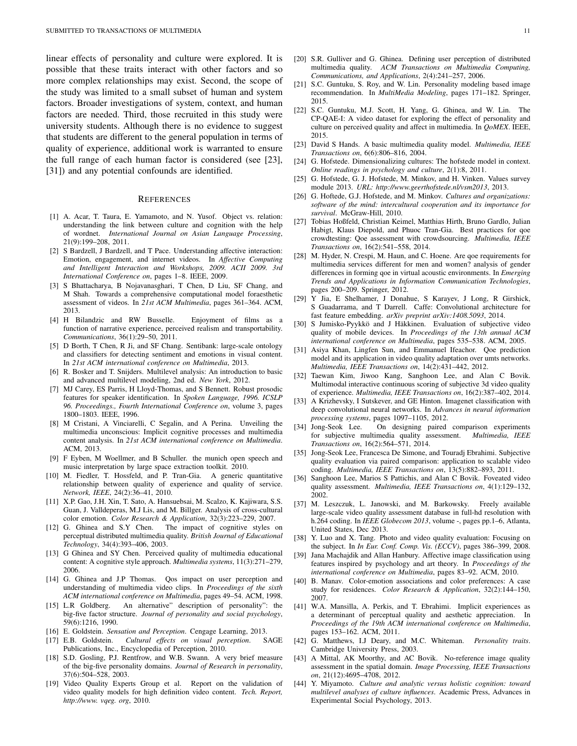linear effects of personality and culture were explored. It is possible that these traits interact with other factors and so more complex relationships may exist. Second, the scope of the study was limited to a small subset of human and system factors. Broader investigations of system, context, and human factors are needed. Third, those recruited in this study were university students. Although there is no evidence to suggest that students are different to the general population in terms of quality of experience, additional work is warranted to ensure the full range of each human factor is considered (see [23], [31]) and any potential confounds are identified.

#### **REFERENCES**

- <span id="page-10-20"></span>[1] A. Acar, T. Taura, E. Yamamoto, and N. Yusof. Object vs. relation: understanding the link between culture and cognition with the help of wordnet. *International Journal on Asian Language Processing*, 21(9):199–208, 2011.
- <span id="page-10-42"></span>[2] S Bardzell, J Bardzell, and T Pace. Understanding affective interaction: Emotion, engagement, and internet videos. In *Affective Computing and Intelligent Interaction and Workshops, 2009. ACII 2009. 3rd International Conference on*, pages 1–8. IEEE, 2009.
- <span id="page-10-33"></span>[3] S Bhattacharya, B Nojavanasghari, T Chen, D Liu, SF Chang, and M Shah. Towards a comprehensive computational model foraesthetic assessment of videos. In *21st ACM Multimedia*, pages 361–364. ACM, 2013.
- <span id="page-10-43"></span>[4] H Bilandzic and RW Busselle. Enjoyment of films as a function of narrative experience, perceived realism and transportability. *Communications*, 36(1):29–50, 2011.
- <span id="page-10-36"></span>[5] D Borth, T Chen, R Ji, and SF Chang. Sentibank: large-scale ontology and classifiers for detecting sentiment and emotions in visual content. In *21st ACM international conference on Multimedia*, 2013.
- <span id="page-10-40"></span>[6] R. Bosker and T. Snijders. Multilevel analysis: An introduction to basic and advanced multilevel modeling, 2nd ed. *New York*, 2012.
- <span id="page-10-37"></span>[7] MJ Carey, ES Parris, H Lloyd-Thomas, and S Bennett. Robust prosodic features for speaker identification. In *Spoken Language, 1996. ICSLP 96. Proceedings., Fourth International Conference on*, volume 3, pages 1800–1803. IEEE, 1996.
- <span id="page-10-23"></span>[8] M Cristani, A Vinciarelli, C Segalin, and A Perina. Unveiling the multimedia unconscious: Implicit cognitive processes and multimedia content analysis. In *21st ACM international conference on Multimedia*. ACM, 2013.
- <span id="page-10-38"></span>[9] F Eyben, M Woellmer, and B Schuller. the munich open speech and music interpretation by large space extraction toolkit. 2010.
- <span id="page-10-3"></span>[10] M. Fiedler, T. Hossfeld, and P. Tran-Gia. A generic quantitative relationship between quality of experience and quality of service. *Network, IEEE*, 24(2):36–41, 2010.
- <span id="page-10-21"></span>[11] X.P. Gao, J.H. Xin, T. Sato, A. Hansuebsai, M. Scalzo, K. Kajiwara, S.S. Guan, J. Valldeperas, M.J Lis, and M. Billger. Analysis of cross-cultural color emotion. *Color Research & Application*, 32(3):223–229, 2007.
- <span id="page-10-25"></span>[12] G. Ghinea and S.Y Chen. The impact of cognitive styles on perceptual distributed multimedia quality. *British Journal of Educational Technology*, 34(4):393–406, 2003.
- <span id="page-10-7"></span>[13] G Ghinea and SY Chen. Perceived quality of multimedia educational content: A cognitive style approach. *Multimedia systems*, 11(3):271–279, 2006.
- <span id="page-10-4"></span>[14] G. Ghinea and J.P Thomas. Qos impact on user perception and understanding of multimedia video clips. In *Proceedings of the sixth ACM international conference on Multimedia*, pages 49–54. ACM, 1998.
- <span id="page-10-15"></span>[15] L.R Goldberg. An alternative" description of personality": the big-five factor structure. *Journal of personality and social psychology*, 59(6):1216, 1990.
- <span id="page-10-5"></span>[16] E. Goldstein. *Sensation and Perception*. Cengage Learning, 2013.
- <span id="page-10-19"></span>[17] E.B. Goldstein. *Cultural effects on visual perception*. SAGE Publications, Inc., Encyclopedia of Perception, 2010.
- <span id="page-10-31"></span>[18] S.D. Gosling, P.J. Rentfrow, and W.B. Swann. A very brief measure of the big-five personality domains. *Journal of Research in personality*, 37(6):504–528, 2003.
- <span id="page-10-8"></span>[19] Video Quality Experts Group et al. Report on the validation of video quality models for high definition video content. *Tech. Report, http://www. vqeg. org*, 2010.
- <span id="page-10-29"></span>[20] S.R. Gulliver and G. Ghinea. Defining user perception of distributed multimedia quality. *ACM Transactions on Multimedia Computing, Communications, and Applications*, 2(4):241–257, 2006.
- <span id="page-10-24"></span>[21] S.C. Guntuku, S. Roy, and W. Lin. Personality modeling based image recommendation. In *MultiMedia Modeling*, pages 171–182. Springer, 2015.
- <span id="page-10-28"></span>[22] S.C. Guntuku, M.J. Scott, H. Yang, G. Ghinea, and W. Lin. The CP-QAE-I: A video dataset for exploring the effect of personality and culture on perceived quality and affect in multimedia. In *QoMEX*. IEEE, 2015.
- <span id="page-10-0"></span>[23] David S Hands. A basic multimedia quality model. *Multimedia, IEEE Transactions on*, 6(6):806–816, 2004.
- <span id="page-10-17"></span>[24] G. Hofstede. Dimensionalizing cultures: The hofstede model in context. *Online readings in psychology and culture*, 2(1):8, 2011.
- <span id="page-10-30"></span>[25] G. Hofstede, G. J. Hofstede, M. Minkov, and H. Vinken. Values survey module 2013. *URL: http://www.geerthofstede.nl/vsm2013*, 2013.
- <span id="page-10-16"></span>[26] G. Hoftede, G.J. Hofstede, and M. Minkov. *Cultures and organizations: software of the mind: intercultural cooperation and its importance for survival*. McGraw-Hill, 2010.
- <span id="page-10-6"></span>[27] Tobias Hoßfeld, Christian Keimel, Matthias Hirth, Bruno Gardlo, Julian Habigt, Klaus Diepold, and Phuoc Tran-Gia. Best practices for qoe crowdtesting: Qoe assessment with crowdsourcing. *Multimedia, IEEE Transactions on*, 16(2):541–558, 2014.
- <span id="page-10-26"></span>[28] M. Hyder, N. Crespi, M. Haun, and C. Hoene. Are qoe requirements for multimedia services different for men and women? analysis of gender differences in forming qoe in virtual acoustic environments. In *Emerging Trends and Applications in Information Communication Technologies*, pages 200–209. Springer, 2012.
- <span id="page-10-35"></span>[29] Y Jia, E Shelhamer, J Donahue, S Karayev, J Long, R Girshick, S Guadarrama, and T Darrell. Caffe: Convolutional architecture for fast feature embedding. *arXiv preprint arXiv:1408.5093*, 2014.
- <span id="page-10-41"></span>[30] S Jumisko-Pyykkö and J Häkkinen. Evaluation of subjective video quality of mobile devices. In *Proceedings of the 13th annual ACM international conference on Multimedia*, pages 535–538. ACM, 2005.
- <span id="page-10-2"></span>[31] Asiya Khan, Lingfen Sun, and Emmanuel Ifeachor. Qoe prediction model and its application in video quality adaptation over umts networks. *Multimedia, IEEE Transactions on*, 14(2):431–442, 2012.
- <span id="page-10-11"></span>[32] Taewan Kim, Jiwoo Kang, Sanghoon Lee, and Alan C Bovik. Multimodal interactive continuous scoring of subjective 3d video quality of experience. *Multimedia, IEEE Transactions on*, 16(2):387–402, 2014.
- <span id="page-10-34"></span>[33] A Krizhevsky, I Sutskever, and GE Hinton. Imagenet classification with deep convolutional neural networks. In *Advances in neural information processing systems*, pages 1097–1105, 2012.
- <span id="page-10-12"></span>[34] Jong-Seok Lee. On designing paired comparison experiments for subjective multimedia quality assessment. *Multimedia, IEEE Transactions on*, 16(2):564–571, 2014.
- <span id="page-10-13"></span>[35] Jong-Seok Lee, Francesca De Simone, and Touradj Ebrahimi. Subjective quality evaluation via paired comparison: application to scalable video coding. *Multimedia, IEEE Transactions on*, 13(5):882–893, 2011.
- <span id="page-10-1"></span>[36] Sanghoon Lee, Marios S Pattichis, and Alan C Bovik. Foveated video quality assessment. *Multimedia, IEEE Transactions on*, 4(1):129–132, 2002.
- <span id="page-10-9"></span>[37] M. Leszczuk, L. Janowski, and M. Barkowsky. Freely available large-scale video quality assessment database in full-hd resolution with h.264 coding. In *IEEE Globecom 2013*, volume -, pages pp.1–6, Atlanta, United States, Dec 2013.
- <span id="page-10-10"></span>[38] Y. Luo and X. Tang. Photo and video quality evaluation: Focusing on the subject. In *In Eur. Conf. Comp. Vis. (ECCV)*, pages 386–399, 2008.
- <span id="page-10-32"></span>[39] Jana Machajdik and Allan Hanbury. Affective image classification using features inspired by psychology and art theory. In *Proceedings of the international conference on Multimedia*, pages 83–92. ACM, 2010.
- <span id="page-10-22"></span>[40] B. Manav. Color-emotion associations and color preferences: A case study for residences. *Color Research & Application*, 32(2):144–150, 2007.
- <span id="page-10-27"></span>[41] W.A. Mansilla, A. Perkis, and T. Ebrahimi. Implicit experiences as a determinant of perceptual quality and aesthetic appreciation. In *Proceedings of the 19th ACM international conference on Multimedia*, pages 153–162. ACM, 2011.
- <span id="page-10-14"></span>[42] G. Matthews, I.J Deary, and M.C. Whiteman. *Personality traits*. Cambridge University Press, 2003.
- <span id="page-10-39"></span>[43] A Mittal, AK Moorthy, and AC Bovik. No-reference image quality assessment in the spatial domain. *Image Processing, IEEE Transactions on*, 21(12):4695–4708, 2012.
- <span id="page-10-18"></span>[44] Y. Miyamoto. *Culture and analytic versus holistic cognition: toward multilevel analyses of culture influences*. Academic Press, Advances in Experimental Social Psychology, 2013.